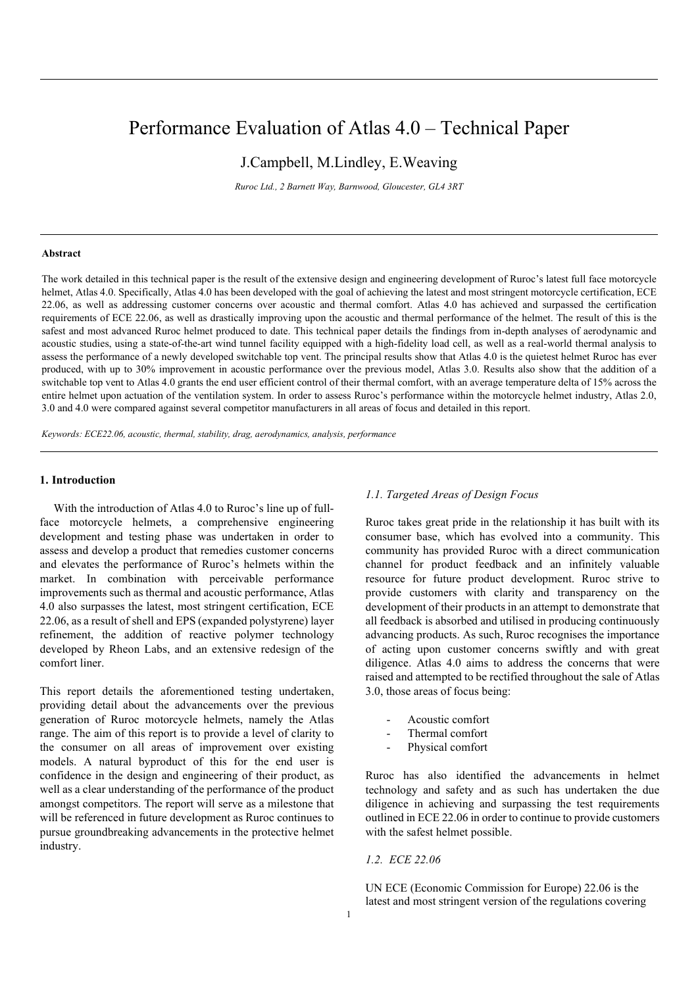# Performance Evaluation of Atlas 4.0 – Technical Paper

J.Campbell, M.Lindley, E.Weaving

*Ruroc Ltd., 2 Barnett Way, Barnwood, Gloucester, GL4 3RT*

## **Abstract**

The work detailed in this technical paper is the result of the extensive design and engineering development of Ruroc's latest full face motorcycle helmet, Atlas 4.0. Specifically, Atlas 4.0 has been developed with the goal of achieving the latest and most stringent motorcycle certification, ECE 22.06, as well as addressing customer concerns over acoustic and thermal comfort. Atlas 4.0 has achieved and surpassed the certification requirements of ECE 22.06, as well as drastically improving upon the acoustic and thermal performance of the helmet. The result of this is the safest and most advanced Ruroc helmet produced to date. This technical paper details the findings from in-depth analyses of aerodynamic and acoustic studies, using a state-of-the-art wind tunnel facility equipped with a high-fidelity load cell, as well as a real-world thermal analysis to assess the performance of a newly developed switchable top vent. The principal results show that Atlas 4.0 is the quietest helmet Ruroc has ever produced, with up to 30% improvement in acoustic performance over the previous model, Atlas 3.0. Results also show that the addition of a switchable top vent to Atlas 4.0 grants the end user efficient control of their thermal comfort, with an average temperature delta of 15% across the entire helmet upon actuation of the ventilation system. In order to assess Ruroc's performance within the motorcycle helmet industry, Atlas 2.0, 3.0 and 4.0 were compared against several competitor manufacturers in all areas of focus and detailed in this report.

*Keywords: ECE22.06, acoustic, thermal, stability, drag, aerodynamics, analysis, performance*

# **1. Introduction**

With the introduction of Atlas 4.0 to Ruroc's line up of fullface motorcycle helmets, a comprehensive engineering development and testing phase was undertaken in order to assess and develop a product that remedies customer concerns and elevates the performance of Ruroc's helmets within the market. In combination with perceivable performance improvements such as thermal and acoustic performance, Atlas 4.0 also surpasses the latest, most stringent certification, ECE 22.06, as a result of shell and EPS (expanded polystyrene) layer refinement, the addition of reactive polymer technology developed by Rheon Labs, and an extensive redesign of the comfort liner.

This report details the aforementioned testing undertaken, providing detail about the advancements over the previous generation of Ruroc motorcycle helmets, namely the Atlas range. The aim of this report is to provide a level of clarity to the consumer on all areas of improvement over existing models. A natural byproduct of this for the end user is confidence in the design and engineering of their product, as well as a clear understanding of the performance of the product amongst competitors. The report will serve as a milestone that will be referenced in future development as Ruroc continues to pursue groundbreaking advancements in the protective helmet industry.

# *1.1. Targeted Areas of Design Focus*

Ruroc takes great pride in the relationship it has built with its consumer base, which has evolved into a community. This community has provided Ruroc with a direct communication channel for product feedback and an infinitely valuable resource for future product development. Ruroc strive to provide customers with clarity and transparency on the development of their products in an attempt to demonstrate that all feedback is absorbed and utilised in producing continuously advancing products. As such, Ruroc recognises the importance of acting upon customer concerns swiftly and with great diligence. Atlas 4.0 aims to address the concerns that were raised and attempted to be rectified throughout the sale of Atlas 3.0, those areas of focus being:

- Acoustic comfort
- Thermal comfort
- Physical comfort

Ruroc has also identified the advancements in helmet technology and safety and as such has undertaken the due diligence in achieving and surpassing the test requirements outlined in ECE 22.06 in order to continue to provide customers with the safest helmet possible.

*1.2. ECE 22.06*

UN ECE (Economic Commission for Europe) 22.06 is the latest and most stringent version of the regulations covering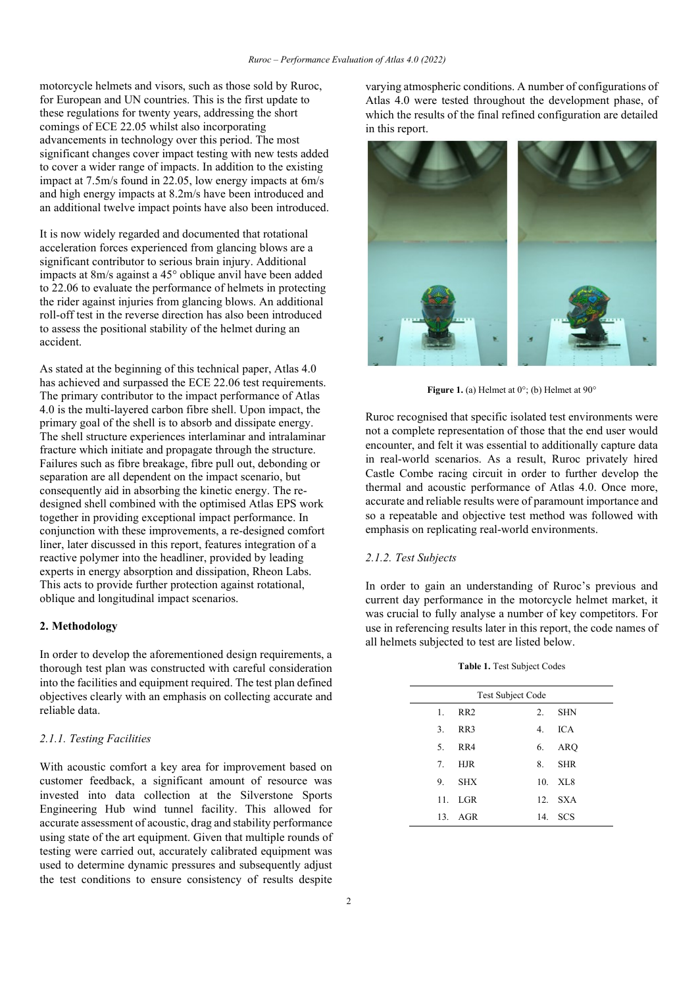motorcycle helmets and visors, such as those sold by Ruroc, for European and UN countries. This is the first update to these regulations for twenty years, addressing the short comings of ECE 22.05 whilst also incorporating advancements in technology over this period. The most significant changes cover impact testing with new tests added to cover a wider range of impacts. In addition to the existing impact at 7.5m/s found in 22.05, low energy impacts at 6m/s and high energy impacts at 8.2m/s have been introduced and an additional twelve impact points have also been introduced.

It is now widely regarded and documented that rotational acceleration forces experienced from glancing blows are a significant contributor to serious brain injury. Additional impacts at 8m/s against a 45° oblique anvil have been added to 22.06 to evaluate the performance of helmets in protecting the rider against injuries from glancing blows. An additional roll-off test in the reverse direction has also been introduced to assess the positional stability of the helmet during an accident.

As stated at the beginning of this technical paper, Atlas 4.0 has achieved and surpassed the ECE 22.06 test requirements. The primary contributor to the impact performance of Atlas 4.0 is the multi-layered carbon fibre shell. Upon impact, the primary goal of the shell is to absorb and dissipate energy. The shell structure experiences interlaminar and intralaminar fracture which initiate and propagate through the structure. Failures such as fibre breakage, fibre pull out, debonding or separation are all dependent on the impact scenario, but consequently aid in absorbing the kinetic energy. The redesigned shell combined with the optimised Atlas EPS work together in providing exceptional impact performance. In conjunction with these improvements, a re-designed comfort liner, later discussed in this report, features integration of a reactive polymer into the headliner, provided by leading experts in energy absorption and dissipation, Rheon Labs. This acts to provide further protection against rotational, oblique and longitudinal impact scenarios.

## **2. Methodology**

In order to develop the aforementioned design requirements, a thorough test plan was constructed with careful consideration into the facilities and equipment required. The test plan defined objectives clearly with an emphasis on collecting accurate and reliable data.

# *2.1.1. Testing Facilities*

With acoustic comfort a key area for improvement based on customer feedback, a significant amount of resource was invested into data collection at the Silverstone Sports Engineering Hub wind tunnel facility. This allowed for accurate assessment of acoustic, drag and stability performance using state of the art equipment. Given that multiple rounds of testing were carried out, accurately calibrated equipment was used to determine dynamic pressures and subsequently adjust the test conditions to ensure consistency of results despite varying atmospheric conditions. A number of configurations of Atlas 4.0 were tested throughout the development phase, of which the results of the final refined configuration are detailed in this report.



**Figure 1.** (a) Helmet at 0°; (b) Helmet at 90°

Ruroc recognised that specific isolated test environments were not a complete representation of those that the end user would encounter, and felt it was essential to additionally capture data in real-world scenarios. As a result, Ruroc privately hired Castle Combe racing circuit in order to further develop the thermal and acoustic performance of Atlas 4.0. Once more, accurate and reliable results were of paramount importance and so a repeatable and objective test method was followed with emphasis on replicating real-world environments.

# *2.1.2. Test Subjects*

In order to gain an understanding of Ruroc's previous and current day performance in the motorcycle helmet market, it was crucial to fully analyse a number of key competitors. For use in referencing results later in this report, the code names of all helmets subjected to test are listed below.

**Table 1.** Test Subject Codes

| <b>Test Subject Code</b> |                                 |                 |     |            |  |  |  |  |  |
|--------------------------|---------------------------------|-----------------|-----|------------|--|--|--|--|--|
|                          | $\mathbf{1}$ .                  | RR <sub>2</sub> | 2.  | <b>SHN</b> |  |  |  |  |  |
|                          | 3.                              | RR <sub>3</sub> | 4.  | <b>ICA</b> |  |  |  |  |  |
|                          | 5.                              | RR4             |     | 6. ARO     |  |  |  |  |  |
|                          | $7_{\scriptscriptstyle{\circ}}$ | <b>HJR</b>      | 8.  | <b>SHR</b> |  |  |  |  |  |
|                          | 9.                              | <b>SHX</b>      |     | 10. XL8    |  |  |  |  |  |
|                          | 11.                             | LGR             | 12. | <b>SXA</b> |  |  |  |  |  |
|                          |                                 | 13. AGR         |     | 14. SCS    |  |  |  |  |  |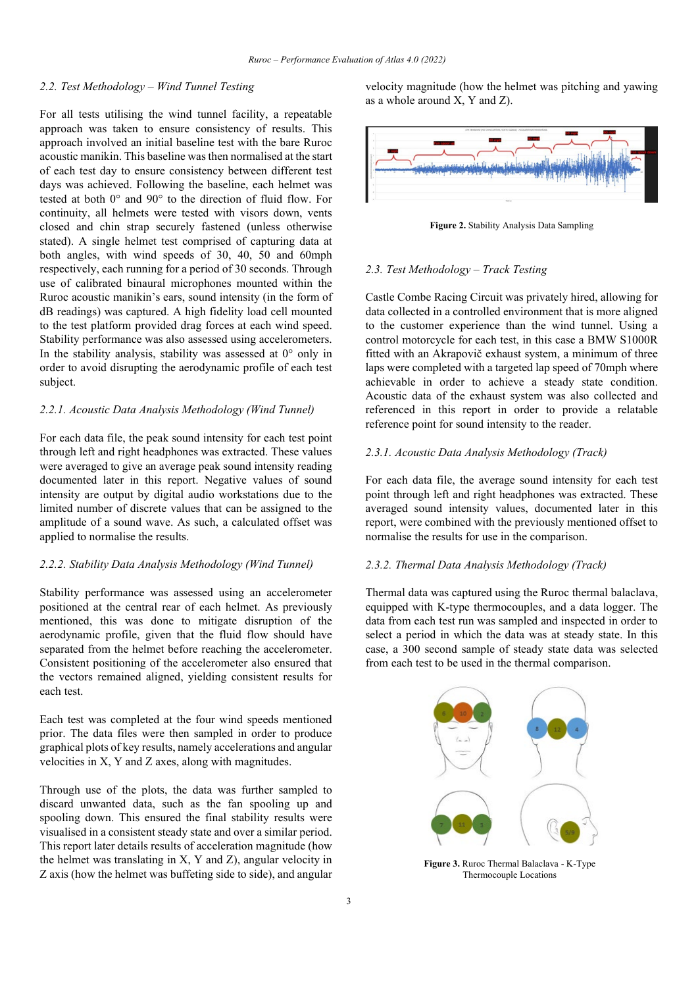# *2.2. Test Methodology – Wind Tunnel Testing*

For all tests utilising the wind tunnel facility, a repeatable approach was taken to ensure consistency of results. This approach involved an initial baseline test with the bare Ruroc acoustic manikin. This baseline was then normalised at the start of each test day to ensure consistency between different test days was achieved. Following the baseline, each helmet was tested at both 0° and 90° to the direction of fluid flow. For continuity, all helmets were tested with visors down, vents closed and chin strap securely fastened (unless otherwise stated). A single helmet test comprised of capturing data at both angles, with wind speeds of 30, 40, 50 and 60mph respectively, each running for a period of 30 seconds. Through use of calibrated binaural microphones mounted within the Ruroc acoustic manikin's ears, sound intensity (in the form of dB readings) was captured. A high fidelity load cell mounted to the test platform provided drag forces at each wind speed. Stability performance was also assessed using accelerometers. In the stability analysis, stability was assessed at 0° only in order to avoid disrupting the aerodynamic profile of each test subject.

## *2.2.1. Acoustic Data Analysis Methodology (Wind Tunnel)*

For each data file, the peak sound intensity for each test point through left and right headphones was extracted. These values were averaged to give an average peak sound intensity reading documented later in this report. Negative values of sound intensity are output by digital audio workstations due to the limited number of discrete values that can be assigned to the amplitude of a sound wave. As such, a calculated offset was applied to normalise the results.

### *2.2.2. Stability Data Analysis Methodology (Wind Tunnel)*

Stability performance was assessed using an accelerometer positioned at the central rear of each helmet. As previously mentioned, this was done to mitigate disruption of the aerodynamic profile, given that the fluid flow should have separated from the helmet before reaching the accelerometer. Consistent positioning of the accelerometer also ensured that the vectors remained aligned, yielding consistent results for each test.

Each test was completed at the four wind speeds mentioned prior. The data files were then sampled in order to produce graphical plots of key results, namely accelerations and angular velocities in X, Y and Z axes, along with magnitudes.

Through use of the plots, the data was further sampled to discard unwanted data, such as the fan spooling up and spooling down. This ensured the final stability results were visualised in a consistent steady state and over a similar period. This report later details results of acceleration magnitude (how the helmet was translating in X, Y and Z), angular velocity in Z axis (how the helmet was buffeting side to side), and angular velocity magnitude (how the helmet was pitching and yawing as a whole around X, Y and Z).



**Figure 2.** Stability Analysis Data Sampling

## *2.3. Test Methodology – Track Testing*

Castle Combe Racing Circuit was privately hired, allowing for data collected in a controlled environment that is more aligned to the customer experience than the wind tunnel. Using a control motorcycle for each test, in this case a BMW S1000R fitted with an Akrapovič exhaust system, a minimum of three laps were completed with a targeted lap speed of 70mph where achievable in order to achieve a steady state condition. Acoustic data of the exhaust system was also collected and referenced in this report in order to provide a relatable reference point for sound intensity to the reader.

## *2.3.1. Acoustic Data Analysis Methodology (Track)*

For each data file, the average sound intensity for each test point through left and right headphones was extracted. These averaged sound intensity values, documented later in this report, were combined with the previously mentioned offset to normalise the results for use in the comparison.

#### *2.3.2. Thermal Data Analysis Methodology (Track)*

Thermal data was captured using the Ruroc thermal balaclava, equipped with K-type thermocouples, and a data logger. The data from each test run was sampled and inspected in order to select a period in which the data was at steady state. In this case, a 300 second sample of steady state data was selected from each test to be used in the thermal comparison.



**Figure 3.** Ruroc Thermal Balaclava - K-Type Thermocouple Locations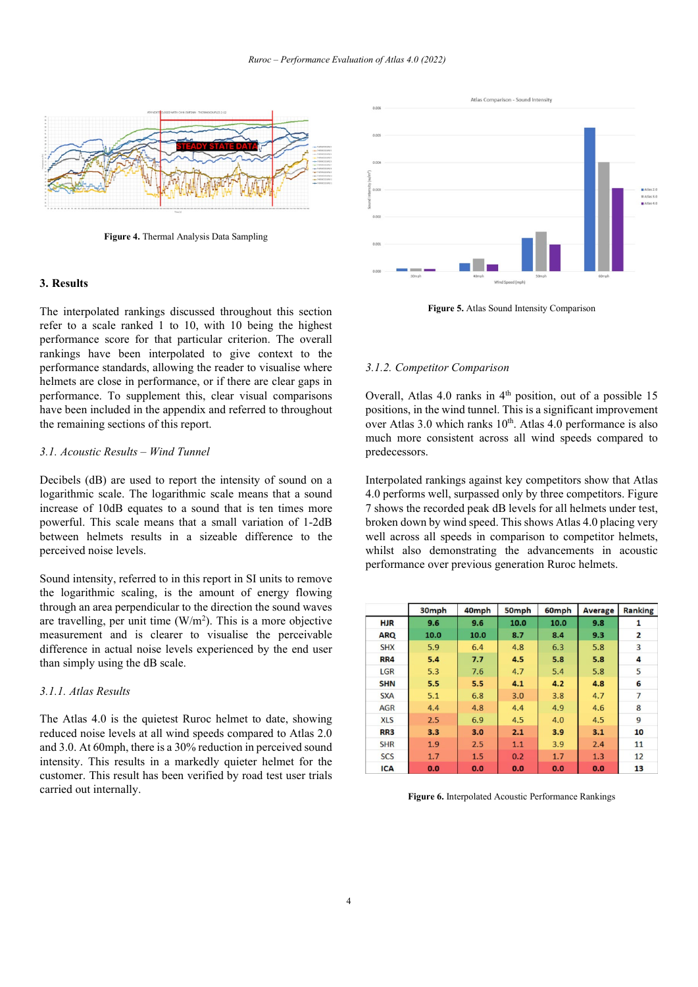

**Figure 4.** Thermal Analysis Data Sampling

### **3. Results**

The interpolated rankings discussed throughout this section refer to a scale ranked 1 to 10, with 10 being the highest performance score for that particular criterion. The overall rankings have been interpolated to give context to the performance standards, allowing the reader to visualise where helmets are close in performance, or if there are clear gaps in performance. To supplement this, clear visual comparisons have been included in the appendix and referred to throughout the remaining sections of this report.

#### *3.1. Acoustic Results – Wind Tunnel*

Decibels (dB) are used to report the intensity of sound on a logarithmic scale. The logarithmic scale means that a sound increase of 10dB equates to a sound that is ten times more powerful. This scale means that a small variation of 1-2dB between helmets results in a sizeable difference to the perceived noise levels.

Sound intensity, referred to in this report in SI units to remove the logarithmic scaling, is the amount of energy flowing through an area perpendicular to the direction the sound waves are travelling, per unit time  $(W/m<sup>2</sup>)$ . This is a more objective measurement and is clearer to visualise the perceivable difference in actual noise levels experienced by the end user than simply using the dB scale.

# *3.1.1. Atlas Results*

The Atlas 4.0 is the quietest Ruroc helmet to date, showing reduced noise levels at all wind speeds compared to Atlas 2.0 and 3.0. At 60mph, there is a 30% reduction in perceived sound intensity. This results in a markedly quieter helmet for the customer. This result has been verified by road test user trials carried out internally.



**Figure 5.** Atlas Sound Intensity Comparison

#### *3.1.2. Competitor Comparison*

Overall, Atlas 4.0 ranks in 4<sup>th</sup> position, out of a possible 15 positions, in the wind tunnel. This is a significant improvement over Atlas 3.0 which ranks  $10<sup>th</sup>$ . Atlas 4.0 performance is also much more consistent across all wind speeds compared to predecessors.

Interpolated rankings against key competitors show that Atlas 4.0 performs well, surpassed only by three competitors. Figure 7 shows the recorded peak dB levels for all helmets under test, broken down by wind speed. This shows Atlas 4.0 placing very well across all speeds in comparison to competitor helmets, whilst also demonstrating the advancements in acoustic performance over previous generation Ruroc helmets.

|                 | 30mph | 40mph | 50mph | 60mph | <b>Average</b> | <b>Ranking</b> |
|-----------------|-------|-------|-------|-------|----------------|----------------|
| <b>HJR</b>      | 9.6   | 9.6   | 10.0  | 10.0  | 9.8            | 1              |
| <b>ARQ</b>      | 10.0  | 10.0  | 8.7   | 8.4   | 9.3            | $\overline{2}$ |
| <b>SHX</b>      | 5.9   | 6.4   | 4.8   | 6.3   | 5.8            | $\overline{3}$ |
| RR4             | 5.4   | 7.7   | 4.5   | 5.8   | 5.8            | 4              |
| LGR             | 5.3   | 7.6   | 4.7   | 5.4   | 5.8            | 5              |
| <b>SHN</b>      | 5.5   | 5.5   | 4.1   | 4.2   | 4.8            | 6              |
| <b>SXA</b>      | 5.1   | 6.8   | 3.0   | 3.8   | 4.7            | 7              |
| <b>AGR</b>      | 4.4   | 4.8   | 4.4   | 4.9   | 4.6            | 8              |
| <b>XLS</b>      | 2.5   | 6.9   | 4.5   | 4.0   | 4.5            | 9              |
| RR <sub>3</sub> | 3.3   | 3.0   | 2.1   | 3.9   | 3.1            | 10             |
| <b>SHR</b>      | 1.9   | 2.5   | 1.1   | 3.9   | 2.4            | 11             |
| <b>SCS</b>      | 1.7   | 1.5   | 0.2   | 1.7   | 1.3            | 12             |
| <b>ICA</b>      | 0.0   | 0.0   | 0.0   | 0.0   | 0.0            | 13             |

**Figure 6.** Interpolated Acoustic Performance Rankings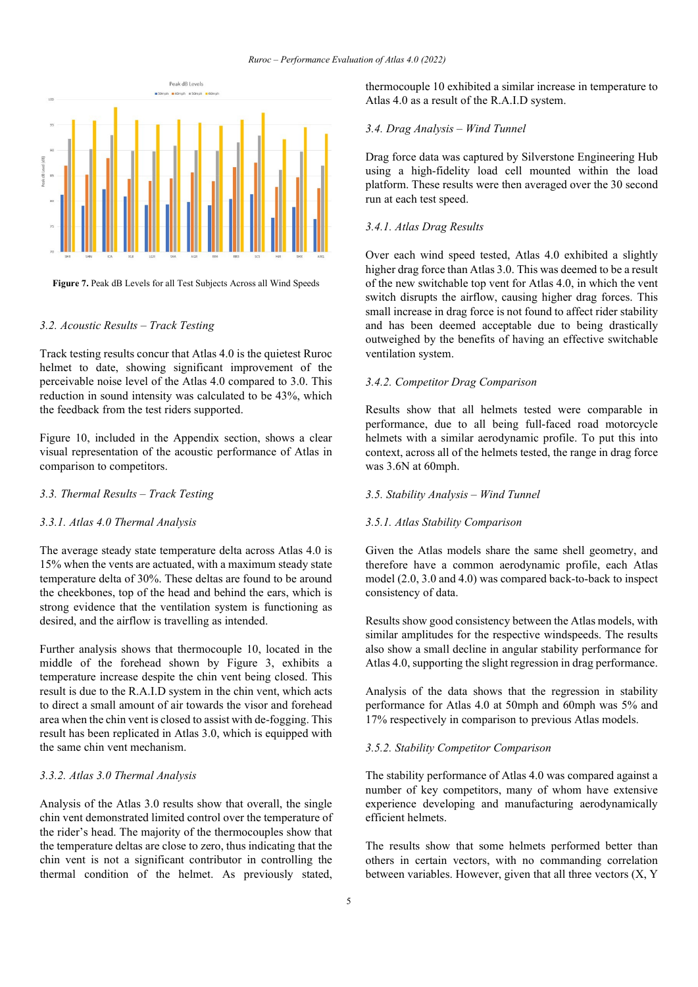



# *3.2. Acoustic Results – Track Testing*

Track testing results concur that Atlas 4.0 is the quietest Ruroc helmet to date, showing significant improvement of the perceivable noise level of the Atlas 4.0 compared to 3.0. This reduction in sound intensity was calculated to be 43%, which the feedback from the test riders supported.

Figure 10, included in the Appendix section, shows a clear visual representation of the acoustic performance of Atlas in comparison to competitors.

# *3.3. Thermal Results – Track Testing*

#### *3.3.1. Atlas 4.0 Thermal Analysis*

The average steady state temperature delta across Atlas 4.0 is 15% when the vents are actuated, with a maximum steady state temperature delta of 30%. These deltas are found to be around the cheekbones, top of the head and behind the ears, which is strong evidence that the ventilation system is functioning as desired, and the airflow is travelling as intended.

Further analysis shows that thermocouple 10, located in the middle of the forehead shown by Figure 3, exhibits a temperature increase despite the chin vent being closed. This result is due to the R.A.I.D system in the chin vent, which acts to direct a small amount of air towards the visor and forehead area when the chin vent is closed to assist with de-fogging. This result has been replicated in Atlas 3.0, which is equipped with the same chin vent mechanism.

# *3.3.2. Atlas 3.0 Thermal Analysis*

Analysis of the Atlas 3.0 results show that overall, the single chin vent demonstrated limited control over the temperature of the rider's head. The majority of the thermocouples show that the temperature deltas are close to zero, thus indicating that the chin vent is not a significant contributor in controlling the thermal condition of the helmet. As previously stated,

thermocouple 10 exhibited a similar increase in temperature to Atlas 4.0 as a result of the R.A.I.D system.

# *3.4. Drag Analysis – Wind Tunnel*

Drag force data was captured by Silverstone Engineering Hub using a high-fidelity load cell mounted within the load platform. These results were then averaged over the 30 second run at each test speed.

# *3.4.1. Atlas Drag Results*

Over each wind speed tested, Atlas 4.0 exhibited a slightly higher drag force than Atlas 3.0. This was deemed to be a result of the new switchable top vent for Atlas 4.0, in which the vent switch disrupts the airflow, causing higher drag forces. This small increase in drag force is not found to affect rider stability and has been deemed acceptable due to being drastically outweighed by the benefits of having an effective switchable ventilation system.

# *3.4.2. Competitor Drag Comparison*

Results show that all helmets tested were comparable in performance, due to all being full-faced road motorcycle helmets with a similar aerodynamic profile. To put this into context, across all of the helmets tested, the range in drag force was 3.6N at 60mph.

## *3.5. Stability Analysis – Wind Tunnel*

#### *3.5.1. Atlas Stability Comparison*

Given the Atlas models share the same shell geometry, and therefore have a common aerodynamic profile, each Atlas model (2.0, 3.0 and 4.0) was compared back-to-back to inspect consistency of data.

Results show good consistency between the Atlas models, with similar amplitudes for the respective windspeeds. The results also show a small decline in angular stability performance for Atlas 4.0, supporting the slight regression in drag performance.

Analysis of the data shows that the regression in stability performance for Atlas 4.0 at 50mph and 60mph was 5% and 17% respectively in comparison to previous Atlas models.

#### *3.5.2. Stability Competitor Comparison*

The stability performance of Atlas 4.0 was compared against a number of key competitors, many of whom have extensive experience developing and manufacturing aerodynamically efficient helmets.

The results show that some helmets performed better than others in certain vectors, with no commanding correlation between variables. However, given that all three vectors (X, Y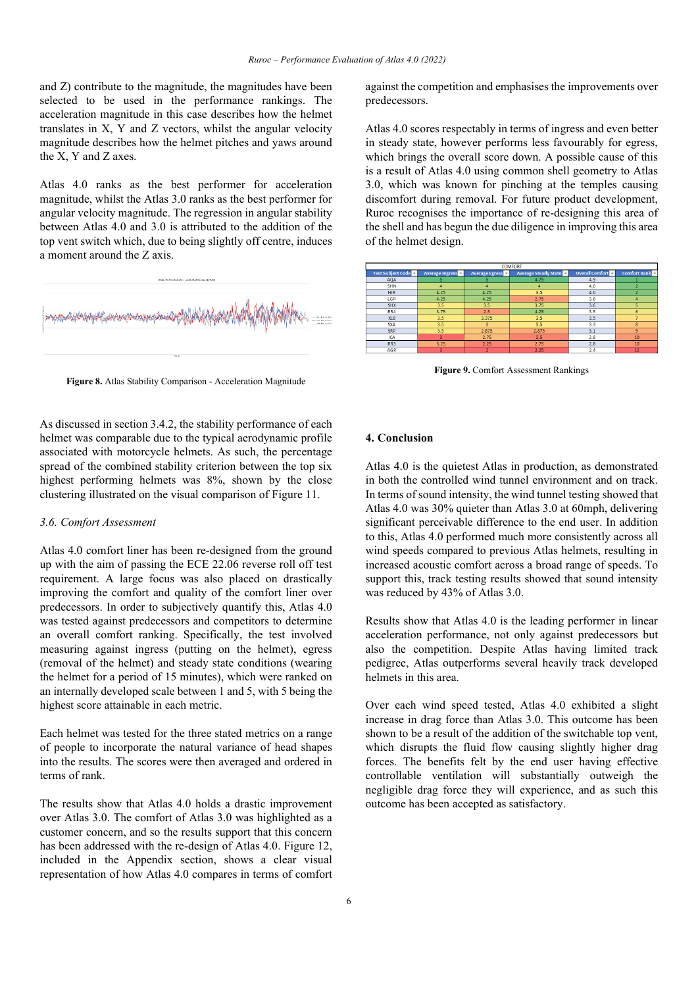and Z) contribute to the magnitude, the magnitudes have been selected to be used in the performance rankings. The acceleration magnitude in this case describes how the helmet translates in X, Y and Z vectors, whilst the angular velocity magnitude describes how the helmet pitches and yaws around the X, Y and Z axes.

Atlas 4.0 ranks as the best performer for acceleration magnitude, whilst the Atlas 3.0 ranks as the best performer for angular velocity magnitude. The regression in angular stability between Atlas 4.0 and 3.0 is attributed to the addition of the top vent switch which, due to being slightly off centre, induces a moment around the Z axis.



**Figure 8.** Atlas Stability Comparison - Acceleration Magnitude

As discussed in section 3.4.2, the stability performance of each helmet was comparable due to the typical aerodynamic profile associated with motorcycle helmets. As such, the percentage spread of the combined stability criterion between the top six highest performing helmets was 8%, shown by the close clustering illustrated on the visual comparison of Figure 11.

## *3.6. Comfort Assessment*

Atlas 4.0 comfort liner has been re-designed from the ground up with the aim of passing the ECE 22.06 reverse roll off test requirement. A large focus was also placed on drastically improving the comfort and quality of the comfort liner over predecessors. In order to subjectively quantify this, Atlas 4.0 was tested against predecessors and competitors to determine an overall comfort ranking. Specifically, the test involved measuring against ingress (putting on the helmet), egress (removal of the helmet) and steady state conditions (wearing the helmet for a period of 15 minutes), which were ranked on an internally developed scale between 1 and 5, with 5 being the highest score attainable in each metric.

Each helmet was tested for the three stated metrics on a range of people to incorporate the natural variance of head shapes into the results. The scores were then averaged and ordered in terms of rank.

The results show that Atlas 4.0 holds a drastic improvement over Atlas 3.0. The comfort of Atlas 3.0 was highlighted as a customer concern, and so the results support that this concern has been addressed with the re-design of Atlas 4.0. Figure 12, included in the Appendix section, shows a clear visual representation of how Atlas 4.0 compares in terms of comfort against the competition and emphasises the improvements over predecessors.

Atlas 4.0 scores respectably in terms of ingress and even better in steady state, however performs less favourably for egress, which brings the overall score down. A possible cause of this is a result of Atlas 4.0 using common shell geometry to Atlas 3.0, which was known for pinching at the temples causing discomfort during removal. For future product development, Ruroc recognises the importance of re-designing this area of the shell and has begun the due diligence in improving this area of the helmet design.



**Figure 9.** Comfort Assessment Rankings

#### **4. Conclusion**

Atlas 4.0 is the quietest Atlas in production, as demonstrated in both the controlled wind tunnel environment and on track. In terms of sound intensity, the wind tunnel testing showed that Atlas 4.0 was 30% quieter than Atlas 3.0 at 60mph, delivering significant perceivable difference to the end user. In addition to this, Atlas 4.0 performed much more consistently across all wind speeds compared to previous Atlas helmets, resulting in increased acoustic comfort across a broad range of speeds. To support this, track testing results showed that sound intensity was reduced by 43% of Atlas 3.0.

Results show that Atlas 4.0 is the leading performer in linear acceleration performance, not only against predecessors but also the competition. Despite Atlas having limited track pedigree, Atlas outperforms several heavily track developed helmets in this area.

Over each wind speed tested, Atlas 4.0 exhibited a slight increase in drag force than Atlas 3.0. This outcome has been shown to be a result of the addition of the switchable top vent, which disrupts the fluid flow causing slightly higher drag forces. The benefits felt by the end user having effective controllable ventilation will substantially outweigh the negligible drag force they will experience, and as such this outcome has been accepted as satisfactory.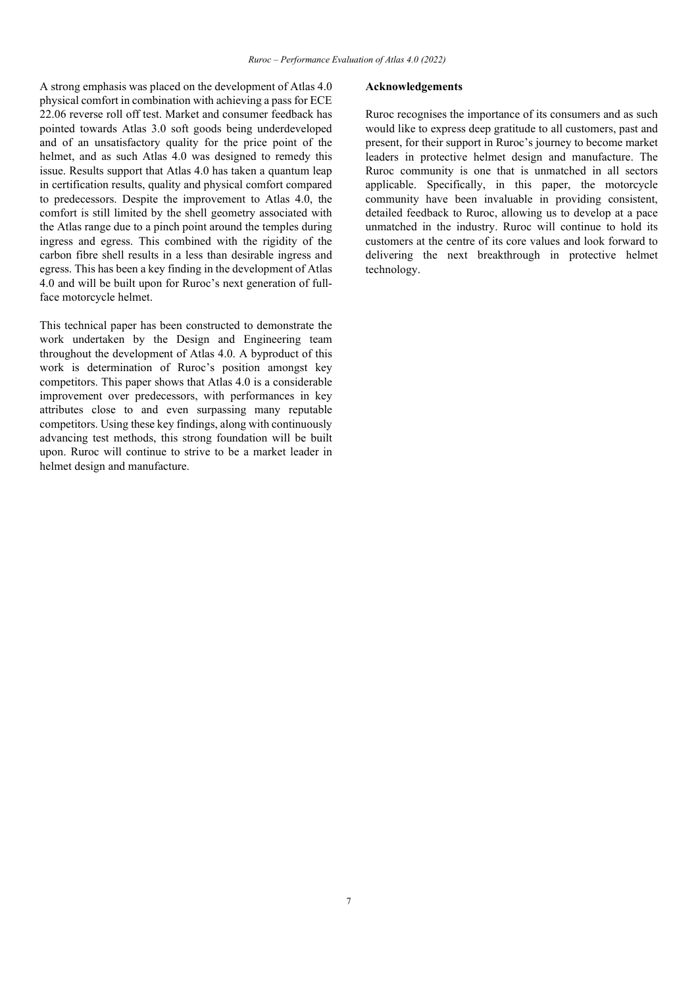A strong emphasis was placed on the development of Atlas 4.0 physical comfort in combination with achieving a pass for ECE 22.06 reverse roll off test. Market and consumer feedback has pointed towards Atlas 3.0 soft goods being underdeveloped and of an unsatisfactory quality for the price point of the helmet, and as such Atlas 4.0 was designed to remedy this issue. Results support that Atlas 4.0 has taken a quantum leap in certification results, quality and physical comfort compared to predecessors. Despite the improvement to Atlas 4.0, the comfort is still limited by the shell geometry associated with the Atlas range due to a pinch point around the temples during ingress and egress. This combined with the rigidity of the carbon fibre shell results in a less than desirable ingress and egress. This has been a key finding in the development of Atlas 4.0 and will be built upon for Ruroc's next generation of fullface motorcycle helmet.

This technical paper has been constructed to demonstrate the work undertaken by the Design and Engineering team throughout the development of Atlas 4.0. A byproduct of this work is determination of Ruroc's position amongst key competitors. This paper shows that Atlas 4.0 is a considerable improvement over predecessors, with performances in key attributes close to and even surpassing many reputable competitors. Using these key findings, along with continuously advancing test methods, this strong foundation will be built upon. Ruroc will continue to strive to be a market leader in helmet design and manufacture.

#### **Acknowledgements**

Ruroc recognises the importance of its consumers and as such would like to express deep gratitude to all customers, past and present, for their support in Ruroc's journey to become market leaders in protective helmet design and manufacture. The Ruroc community is one that is unmatched in all sectors applicable. Specifically, in this paper, the motorcycle community have been invaluable in providing consistent, detailed feedback to Ruroc, allowing us to develop at a pace unmatched in the industry. Ruroc will continue to hold its customers at the centre of its core values and look forward to delivering the next breakthrough in protective helmet technology.